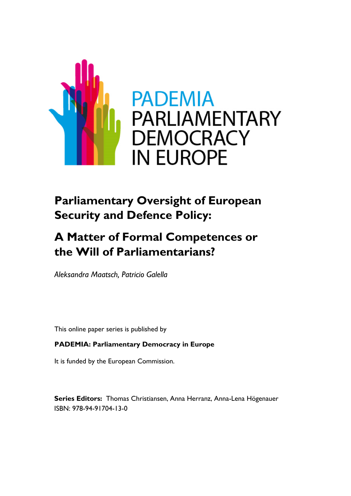

# **Parliamentary Oversight of European Security and Defence Policy:**

# **A Matter of Formal Competences or the Will of Parliamentarians?**

*Aleksandra Maatsch, Patricio Galella*

This online paper series is published by

## **PADEMIA: Parliamentary Democracy in Europe**

It is funded by the European Commission.

**Series Editors:** Thomas Christiansen, Anna Herranz, Anna-Lena Högenauer ISBN: 978-94-91704-13-0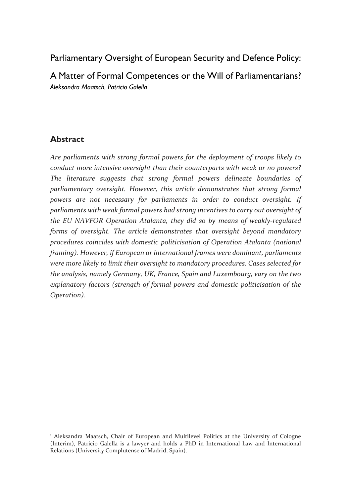Parliamentary Oversight of European Security and Defence Policy: A Matter of Formal Competences or the Will of Parliamentarians? *Aleksandra Maatsch, Patricio Galella<sup>1</sup>*

### **Abstract**

*Are parliaments with strong formal powers for the deployment of troops likely to conduct more intensive oversight than their counterparts with weak or no powers? The literature suggests that strong formal powers delineate boundaries of parliamentary oversight. However, this article demonstrates that strong formal powers are not necessary for parliaments in order to conduct oversight. If parliaments with weak formal powers had strong incentives to carry out oversight of the EU NAVFOR Operation Atalanta, they did so by means of weakly-regulated forms of oversight. The article demonstrates that oversight beyond mandatory procedures coincides with domestic politicisation of Operation Atalanta (national framing). However, if European or international frames were dominant, parliaments were more likely to limit their oversight to mandatory procedures. Cases selected for the analysis, namely Germany, UK, France, Spain and Luxembourg, vary on the two explanatory factors (strength of formal powers and domestic politicisation of the Operation).* 

 $\overline{a}$ <sup>1</sup> Aleksandra Maatsch, Chair of European and Multilevel Politics at the University of Cologne (Interim), Patricio Galella is a lawyer and holds a PhD in International Law and International Relations (University Complutense of Madrid, Spain).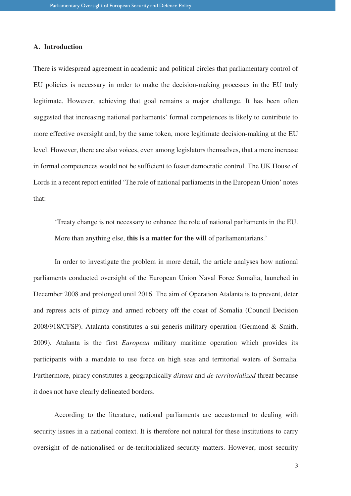### **A. Introduction**

There is widespread agreement in academic and political circles that parliamentary control of EU policies is necessary in order to make the decision-making processes in the EU truly legitimate. However, achieving that goal remains a major challenge. It has been often suggested that increasing national parliaments' formal competences is likely to contribute to more effective oversight and, by the same token, more legitimate decision-making at the EU level. However, there are also voices, even among legislators themselves, that a mere increase in formal competences would not be sufficient to foster democratic control. The UK House of Lords in a recent report entitled 'The role of national parliaments in the European Union' notes that:

'Treaty change is not necessary to enhance the role of national parliaments in the EU. More than anything else, **this is a matter for the will** of parliamentarians.'

In order to investigate the problem in more detail, the article analyses how national parliaments conducted oversight of the European Union Naval Force Somalia, launched in December 2008 and prolonged until 2016. The aim of Operation Atalanta is to prevent, deter and repress acts of piracy and armed robbery off the coast of Somalia (Council Decision 2008/918/CFSP). Atalanta constitutes a sui generis military operation (Germond & Smith, 2009). Atalanta is the first *European* military maritime operation which provides its participants with a mandate to use force on high seas and territorial waters of Somalia. Furthermore, piracy constitutes a geographically *distant* and *de-territorialized* threat because it does not have clearly delineated borders.

According to the literature, national parliaments are accustomed to dealing with security issues in a national context. It is therefore not natural for these institutions to carry oversight of de-nationalised or de-territorialized security matters. However, most security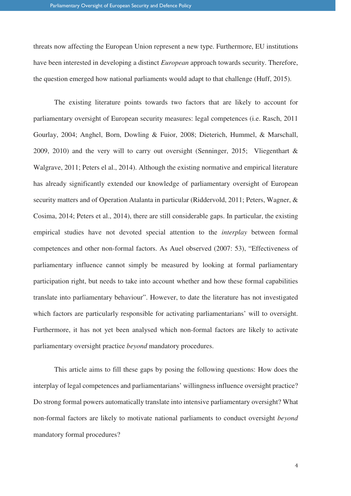threats now affecting the European Union represent a new type. Furthermore, EU institutions have been interested in developing a distinct *European* approach towards security. Therefore, the question emerged how national parliaments would adapt to that challenge (Huff, 2015).

The existing literature points towards two factors that are likely to account for parliamentary oversight of European security measures: legal competences (i.e. Rasch, 2011 Gourlay, 2004; Anghel, Born, Dowling & Fuior, 2008; Dieterich, Hummel, & Marschall, 2009, 2010) and the very will to carry out oversight (Senninger, 2015; Vliegenthart & Walgrave, 2011; Peters el al., 2014). Although the existing normative and empirical literature has already significantly extended our knowledge of parliamentary oversight of European security matters and of Operation Atalanta in particular (Riddervold, 2011; Peters, Wagner, & Cosima, 2014; Peters et al., 2014), there are still considerable gaps. In particular, the existing empirical studies have not devoted special attention to the *interplay* between formal competences and other non-formal factors. As Auel observed (2007: 53), "Effectiveness of parliamentary influence cannot simply be measured by looking at formal parliamentary participation right, but needs to take into account whether and how these formal capabilities translate into parliamentary behaviour". However, to date the literature has not investigated which factors are particularly responsible for activating parliamentarians' will to oversight. Furthermore, it has not yet been analysed which non-formal factors are likely to activate parliamentary oversight practice *beyond* mandatory procedures.

This article aims to fill these gaps by posing the following questions: How does the interplay of legal competences and parliamentarians' willingness influence oversight practice? Do strong formal powers automatically translate into intensive parliamentary oversight? What non-formal factors are likely to motivate national parliaments to conduct oversight *beyond*  mandatory formal procedures?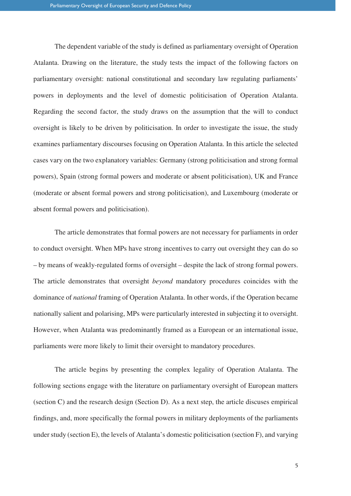The dependent variable of the study is defined as parliamentary oversight of Operation Atalanta. Drawing on the literature, the study tests the impact of the following factors on parliamentary oversight: national constitutional and secondary law regulating parliaments' powers in deployments and the level of domestic politicisation of Operation Atalanta. Regarding the second factor, the study draws on the assumption that the will to conduct oversight is likely to be driven by politicisation. In order to investigate the issue, the study examines parliamentary discourses focusing on Operation Atalanta. In this article the selected cases vary on the two explanatory variables: Germany (strong politicisation and strong formal powers), Spain (strong formal powers and moderate or absent politicisation), UK and France (moderate or absent formal powers and strong politicisation), and Luxembourg (moderate or absent formal powers and politicisation).

The article demonstrates that formal powers are not necessary for parliaments in order to conduct oversight. When MPs have strong incentives to carry out oversight they can do so – by means of weakly-regulated forms of oversight – despite the lack of strong formal powers. The article demonstrates that oversight *beyond* mandatory procedures coincides with the dominance of *national* framing of Operation Atalanta. In other words, if the Operation became nationally salient and polarising, MPs were particularly interested in subjecting it to oversight. However, when Atalanta was predominantly framed as a European or an international issue, parliaments were more likely to limit their oversight to mandatory procedures.

The article begins by presenting the complex legality of Operation Atalanta. The following sections engage with the literature on parliamentary oversight of European matters (section C) and the research design (Section D). As a next step, the article discuses empirical findings, and, more specifically the formal powers in military deployments of the parliaments under study (section E), the levels of Atalanta's domestic politicisation (section F), and varying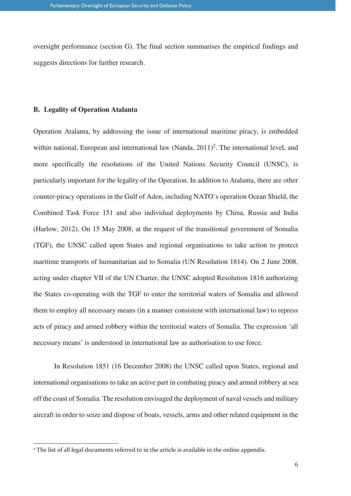oversight performance (section G). The final section summarises the empirical findings and suggests directions for further research.

#### **B. Legality of Operation Atalanta**

Operation Atalanta, by addressing the issue of international maritime piracy, is embedded within national, European and international law (Nanda,  $2011$ )<sup>2</sup>. The international level, and more specifically the resolutions of the United Nations Security Council (UNSC), is particularly important for the legality of the Operation. In addition to Atalanta, there are other counter-piracy operations in the Gulf of Aden, including NATO's operation Ocean Shield, the Combined Task Force 151 and also individual deployments by China, Russia and India (Harlow, 2012). On 15 May 2008, at the request of the transitional government of Somalia (TGF), the UNSC called upon States and regional organisations to take action to protect maritime transports of humanitarian aid to Somalia (UN Resolution 1814). On 2 June 2008, acting under chapter VII of the UN Charter, the UNSC adopted Resolution 1816 authorizing the States co-operating with the TGF to enter the territorial waters of Somalia and allowed them to employ all necessary means (in a manner consistent with international law) to repress acts of piracy and armed robbery within the territorial waters of Somalia. The expression 'all necessary means' is understood in international law as authorisation to use force.

In Resolution 1851 (16 December 2008) the UNSC called upon States, regional and international organisations to take an active part in combating piracy and armed robbery at sea off the coast of Somalia. The resolution envisaged the deployment of naval vessels and military aircraft in order to seize and dispose of boats, vessels, arms and other related equipment in the

 $\overline{a}$ 

<sup>&</sup>lt;sup>2</sup> The list of all legal documents referred to in the article is available in the online appendix.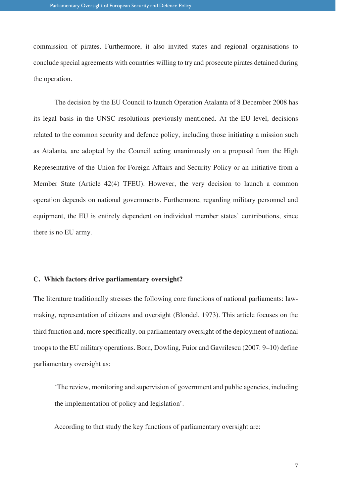commission of pirates. Furthermore, it also invited states and regional organisations to conclude special agreements with countries willing to try and prosecute pirates detained during the operation.

The decision by the EU Council to launch Operation Atalanta of 8 December 2008 has its legal basis in the UNSC resolutions previously mentioned. At the EU level, decisions related to the common security and defence policy, including those initiating a mission such as Atalanta, are adopted by the Council acting unanimously on a proposal from the High Representative of the Union for Foreign Affairs and Security Policy or an initiative from a Member State (Article 42(4) TFEU). However, the very decision to launch a common operation depends on national governments. Furthermore, regarding military personnel and equipment, the EU is entirely dependent on individual member states' contributions, since there is no EU army.

#### **C. Which factors drive parliamentary oversight?**

The literature traditionally stresses the following core functions of national parliaments: lawmaking, representation of citizens and oversight (Blondel, 1973). This article focuses on the third function and, more specifically, on parliamentary oversight of the deployment of national troops to the EU military operations. Born, Dowling, Fuior and Gavrilescu (2007: 9–10) define parliamentary oversight as:

'The review, monitoring and supervision of government and public agencies, including the implementation of policy and legislation'.

According to that study the key functions of parliamentary oversight are: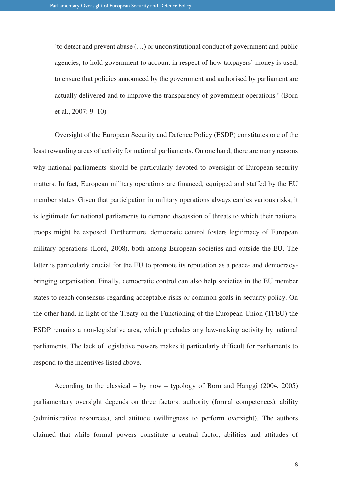'to detect and prevent abuse (…) or unconstitutional conduct of government and public agencies, to hold government to account in respect of how taxpayers' money is used, to ensure that policies announced by the government and authorised by parliament are actually delivered and to improve the transparency of government operations.' (Born et al., 2007: 9–10)

Oversight of the European Security and Defence Policy (ESDP) constitutes one of the least rewarding areas of activity for national parliaments. On one hand, there are many reasons why national parliaments should be particularly devoted to oversight of European security matters. In fact, European military operations are financed, equipped and staffed by the EU member states. Given that participation in military operations always carries various risks, it is legitimate for national parliaments to demand discussion of threats to which their national troops might be exposed. Furthermore, democratic control fosters legitimacy of European military operations (Lord, 2008), both among European societies and outside the EU. The latter is particularly crucial for the EU to promote its reputation as a peace- and democracybringing organisation. Finally, democratic control can also help societies in the EU member states to reach consensus regarding acceptable risks or common goals in security policy. On the other hand, in light of the Treaty on the Functioning of the European Union (TFEU) the ESDP remains a non-legislative area, which precludes any law-making activity by national parliaments. The lack of legislative powers makes it particularly difficult for parliaments to respond to the incentives listed above.

According to the classical – by now – typology of Born and Hänggi (2004, 2005) parliamentary oversight depends on three factors: authority (formal competences), ability (administrative resources), and attitude (willingness to perform oversight). The authors claimed that while formal powers constitute a central factor, abilities and attitudes of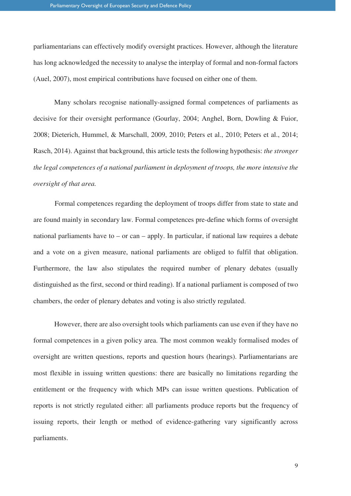parliamentarians can effectively modify oversight practices. However, although the literature has long acknowledged the necessity to analyse the interplay of formal and non-formal factors (Auel, 2007), most empirical contributions have focused on either one of them.

Many scholars recognise nationally-assigned formal competences of parliaments as decisive for their oversight performance (Gourlay, 2004; Anghel, Born, Dowling & Fuior, 2008; Dieterich, Hummel, & Marschall, 2009, 2010; Peters et al., 2010; Peters et al., 2014; Rasch, 2014). Against that background, this article tests the following hypothesis: *the stronger the legal competences of a national parliament in deployment of troops, the more intensive the oversight of that area.* 

Formal competences regarding the deployment of troops differ from state to state and are found mainly in secondary law. Formal competences pre-define which forms of oversight national parliaments have to – or can – apply. In particular, if national law requires a debate and a vote on a given measure, national parliaments are obliged to fulfil that obligation. Furthermore, the law also stipulates the required number of plenary debates (usually distinguished as the first, second or third reading). If a national parliament is composed of two chambers, the order of plenary debates and voting is also strictly regulated.

However, there are also oversight tools which parliaments can use even if they have no formal competences in a given policy area. The most common weakly formalised modes of oversight are written questions, reports and question hours (hearings). Parliamentarians are most flexible in issuing written questions: there are basically no limitations regarding the entitlement or the frequency with which MPs can issue written questions. Publication of reports is not strictly regulated either: all parliaments produce reports but the frequency of issuing reports, their length or method of evidence-gathering vary significantly across parliaments.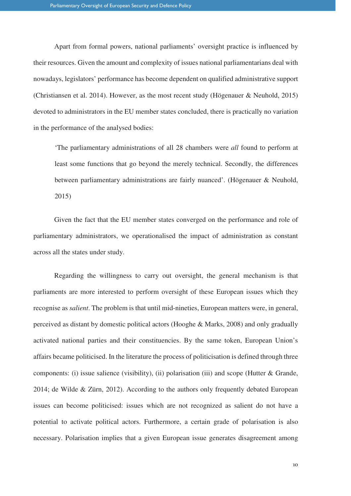Apart from formal powers, national parliaments' oversight practice is influenced by their resources. Given the amount and complexity of issues national parliamentarians deal with nowadays, legislators' performance has become dependent on qualified administrative support (Christiansen et al. 2014). However, as the most recent study (Högenauer & Neuhold, 2015) devoted to administrators in the EU member states concluded, there is practically no variation in the performance of the analysed bodies:

'The parliamentary administrations of all 28 chambers were *all* found to perform at least some functions that go beyond the merely technical. Secondly, the differences between parliamentary administrations are fairly nuanced'. (Högenauer & Neuhold, 2015)

Given the fact that the EU member states converged on the performance and role of parliamentary administrators, we operationalised the impact of administration as constant across all the states under study.

Regarding the willingness to carry out oversight, the general mechanism is that parliaments are more interested to perform oversight of these European issues which they recognise as *salient*. The problem is that until mid-nineties, European matters were, in general, perceived as distant by domestic political actors (Hooghe & Marks, 2008) and only gradually activated national parties and their constituencies. By the same token, European Union's affairs became politicised. In the literature the process of politicisation is defined through three components: (i) issue salience (visibility), (ii) polarisation (iii) and scope (Hutter & Grande, 2014; de Wilde & Zürn, 2012). According to the authors only frequently debated European issues can become politicised: issues which are not recognized as salient do not have a potential to activate political actors. Furthermore, a certain grade of polarisation is also necessary. Polarisation implies that a given European issue generates disagreement among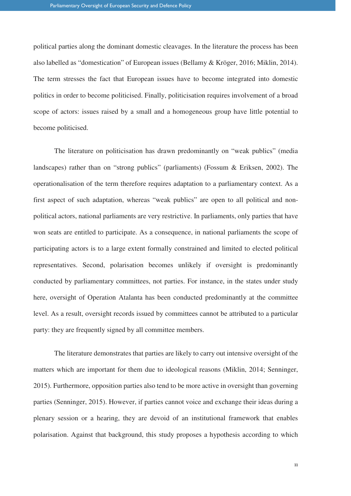political parties along the dominant domestic cleavages. In the literature the process has been also labelled as "domestication" of European issues (Bellamy & Kröger, 2016; Miklin, 2014). The term stresses the fact that European issues have to become integrated into domestic politics in order to become politicised. Finally, politicisation requires involvement of a broad scope of actors: issues raised by a small and a homogeneous group have little potential to become politicised.

The literature on politicisation has drawn predominantly on "weak publics" (media landscapes) rather than on "strong publics" (parliaments) (Fossum & Eriksen, 2002). The operationalisation of the term therefore requires adaptation to a parliamentary context. As a first aspect of such adaptation, whereas "weak publics" are open to all political and nonpolitical actors, national parliaments are very restrictive. In parliaments, only parties that have won seats are entitled to participate. As a consequence, in national parliaments the scope of participating actors is to a large extent formally constrained and limited to elected political representatives. Second, polarisation becomes unlikely if oversight is predominantly conducted by parliamentary committees, not parties. For instance, in the states under study here, oversight of Operation Atalanta has been conducted predominantly at the committee level. As a result, oversight records issued by committees cannot be attributed to a particular party: they are frequently signed by all committee members.

The literature demonstrates that parties are likely to carry out intensive oversight of the matters which are important for them due to ideological reasons (Miklin, 2014; Senninger, 2015). Furthermore, opposition parties also tend to be more active in oversight than governing parties (Senninger, 2015). However, if parties cannot voice and exchange their ideas during a plenary session or a hearing, they are devoid of an institutional framework that enables polarisation. Against that background, this study proposes a hypothesis according to which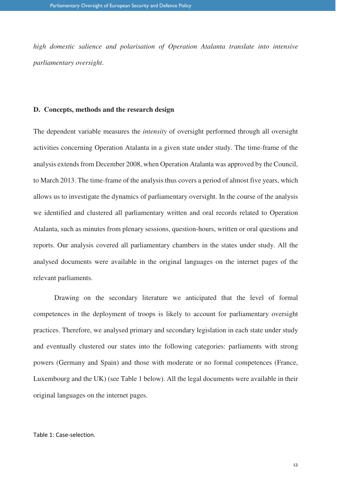*high domestic salience and polarisation of Operation Atalanta translate into intensive parliamentary oversight*.

#### **D. Concepts, methods and the research design**

The dependent variable measures the *intensity* of oversight performed through all oversight activities concerning Operation Atalanta in a given state under study. The time-frame of the analysis extends from December 2008, when Operation Atalanta was approved by the Council, to March 2013. The time-frame of the analysis thus covers a period of almost five years, which allows us to investigate the dynamics of parliamentary oversight. In the course of the analysis we identified and clustered all parliamentary written and oral records related to Operation Atalanta, such as minutes from plenary sessions, question-hours, written or oral questions and reports. Our analysis covered all parliamentary chambers in the states under study. All the analysed documents were available in the original languages on the internet pages of the relevant parliaments.

Drawing on the secondary literature we anticipated that the level of formal competences in the deployment of troops is likely to account for parliamentary oversight practices. Therefore, we analysed primary and secondary legislation in each state under study and eventually clustered our states into the following categories: parliaments with strong powers (Germany and Spain) and those with moderate or no formal competences (France, Luxembourg and the UK) (see Table 1 below). All the legal documents were available in their original languages on the internet pages.

#### Table 1: Case-selection.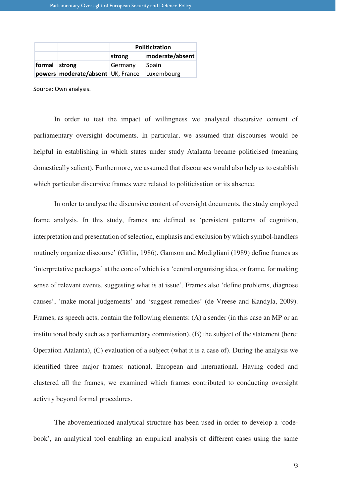|               |                                       | Politicization |                 |  |  |
|---------------|---------------------------------------|----------------|-----------------|--|--|
|               |                                       | strong         | moderate/absent |  |  |
| formal strong |                                       | Germany        | Spain           |  |  |
|               | powers   moderate/absent   UK, France |                | Luxembourg      |  |  |

Source: Own analysis.

In order to test the impact of willingness we analysed discursive content of parliamentary oversight documents. In particular, we assumed that discourses would be helpful in establishing in which states under study Atalanta became politicised (meaning domestically salient). Furthermore, we assumed that discourses would also help us to establish which particular discursive frames were related to politicisation or its absence.

In order to analyse the discursive content of oversight documents, the study employed frame analysis. In this study, frames are defined as 'persistent patterns of cognition, interpretation and presentation of selection, emphasis and exclusion by which symbol-handlers routinely organize discourse' (Gitlin, 1986). Gamson and Modigliani (1989) define frames as 'interpretative packages' at the core of which is a 'central organising idea, or frame, for making sense of relevant events, suggesting what is at issue'. Frames also 'define problems, diagnose causes', 'make moral judgements' and 'suggest remedies' (de Vreese and Kandyla, 2009). Frames, as speech acts, contain the following elements: (A) a sender (in this case an MP or an institutional body such as a parliamentary commission), (B) the subject of the statement (here: Operation Atalanta), (C) evaluation of a subject (what it is a case of). During the analysis we identified three major frames: national, European and international. Having coded and clustered all the frames, we examined which frames contributed to conducting oversight activity beyond formal procedures.

The abovementioned analytical structure has been used in order to develop a 'codebook', an analytical tool enabling an empirical analysis of different cases using the same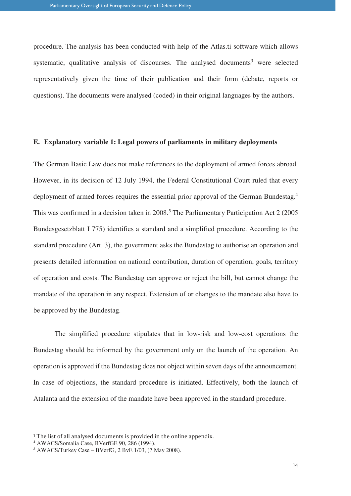procedure. The analysis has been conducted with help of the Atlas.ti software which allows systematic, qualitative analysis of discourses. The analysed documents<sup>3</sup> were selected representatively given the time of their publication and their form (debate, reports or questions). The documents were analysed (coded) in their original languages by the authors.

#### **E. Explanatory variable 1: Legal powers of parliaments in military deployments**

The German Basic Law does not make references to the deployment of armed forces abroad. However, in its decision of 12 July 1994, the Federal Constitutional Court ruled that every deployment of armed forces requires the essential prior approval of the German Bundestag.<sup>4</sup> This was confirmed in a decision taken in 2008.<sup>5</sup> The Parliamentary Participation Act 2 (2005) Bundesgesetzblatt I 775) identifies a standard and a simplified procedure. According to the standard procedure (Art. 3), the government asks the Bundestag to authorise an operation and presents detailed information on national contribution, duration of operation, goals, territory of operation and costs. The Bundestag can approve or reject the bill, but cannot change the mandate of the operation in any respect. Extension of or changes to the mandate also have to be approved by the Bundestag.

The simplified procedure stipulates that in low-risk and low-cost operations the Bundestag should be informed by the government only on the launch of the operation. An operation is approved if the Bundestag does not object within seven days of the announcement. In case of objections, the standard procedure is initiated. Effectively, both the launch of Atalanta and the extension of the mandate have been approved in the standard procedure.

 $\overline{a}$ 

<sup>&</sup>lt;sup>3</sup> The list of all analysed documents is provided in the online appendix.

<sup>4</sup> AWACS/Somalia Case, BVerfGE 90, 286 (1994).

<sup>5</sup> AWACS/Turkey Case – BVerfG, 2 BvE 1/03, (7 May 2008).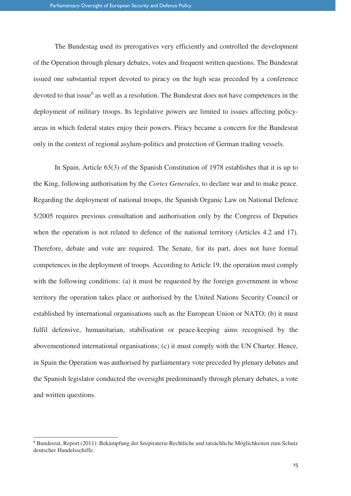The Bundestag used its prerogatives very efficiently and controlled the development of the Operation through plenary debates, votes and frequent written questions. The Bundesrat issued one substantial report devoted to piracy on the high seas preceded by a conference devoted to that issue<sup>6</sup> as well as a resolution. The Bundesrat does not have competences in the deployment of military troops. Its legislative powers are limited to issues affecting policyareas in which federal states enjoy their powers. Piracy became a concern for the Bundesrat only in the context of regional asylum-politics and protection of German trading vessels.

In Spain, Article 63(3) of the Spanish Constitution of 1978 establishes that it is up to the King, following authorisation by the *Cortes Generales*, to declare war and to make peace. Regarding the deployment of national troops, the Spanish Organic Law on National Defence 5/2005 requires previous consultation and authorisation only by the Congress of Deputies when the operation is not related to defence of the national territory (Articles 4.2 and 17). Therefore, debate and vote are required. The Senate, for its part, does not have formal competences in the deployment of troops. According to Article 19, the operation must comply with the following conditions: (a) it must be requested by the foreign government in whose territory the operation takes place or authorised by the United Nations Security Council or established by international organisations such as the European Union or NATO; (b) it must fulfil defensive, humanitarian, stabilisation or peace-keeping aims recognised by the abovementioned international organisations; (c) it must comply with the UN Charter. Hence, in Spain the Operation was authorised by parliamentary vote preceded by plenary debates and the Spanish legislator conducted the oversight predominantly through plenary debates, a vote and written questions.

 $\overline{a}$ 

<sup>6</sup> Bundesrat, Report (2011): Bekämpfung der Seepiraterie Rechtliche und tatsächliche Möglichkeiten zum Schutz deutscher Handelsschiffe.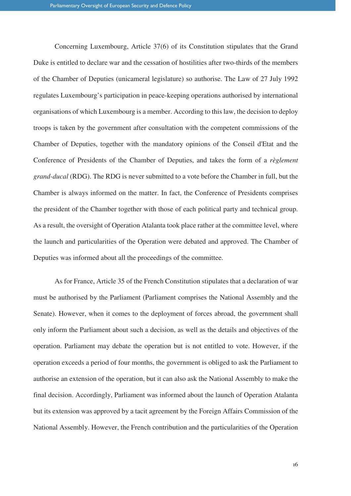Concerning Luxembourg, Article 37(6) of its Constitution stipulates that the Grand Duke is entitled to declare war and the cessation of hostilities after two-thirds of the members of the Chamber of Deputies (unicameral legislature) so authorise. The Law of 27 July 1992 regulates Luxembourg's participation in peace-keeping operations authorised by international organisations of which Luxembourg is a member. According to this law, the decision to deploy troops is taken by the government after consultation with the competent commissions of the Chamber of Deputies, together with the mandatory opinions of the Conseil d'Etat and the Conference of Presidents of the Chamber of Deputies, and takes the form of a *règlement grand-ducal* (RDG). The RDG is never submitted to a vote before the Chamber in full, but the Chamber is always informed on the matter. In fact, the Conference of Presidents comprises the president of the Chamber together with those of each political party and technical group. As a result, the oversight of Operation Atalanta took place rather at the committee level, where the launch and particularities of the Operation were debated and approved. The Chamber of Deputies was informed about all the proceedings of the committee.

As for France, Article 35 of the French Constitution stipulates that a declaration of war must be authorised by the Parliament (Parliament comprises the National Assembly and the Senate). However, when it comes to the deployment of forces abroad, the government shall only inform the Parliament about such a decision, as well as the details and objectives of the operation. Parliament may debate the operation but is not entitled to vote. However, if the operation exceeds a period of four months, the government is obliged to ask the Parliament to authorise an extension of the operation, but it can also ask the National Assembly to make the final decision. Accordingly, Parliament was informed about the launch of Operation Atalanta but its extension was approved by a tacit agreement by the Foreign Affairs Commission of the National Assembly. However, the French contribution and the particularities of the Operation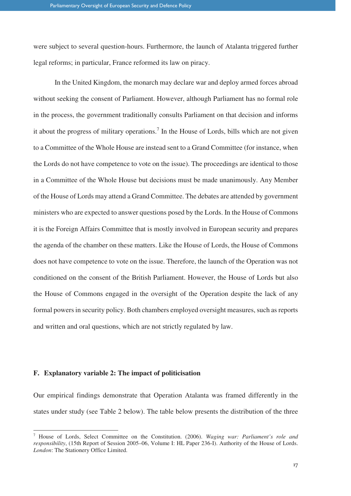were subject to several question-hours. Furthermore, the launch of Atalanta triggered further legal reforms; in particular, France reformed its law on piracy.

In the United Kingdom, the monarch may declare war and deploy armed forces abroad without seeking the consent of Parliament. However, although Parliament has no formal role in the process, the government traditionally consults Parliament on that decision and informs it about the progress of military operations.<sup>7</sup> In the House of Lords, bills which are not given to a Committee of the Whole House are instead sent to a Grand Committee (for instance, when the Lords do not have competence to vote on the issue). The proceedings are identical to those in a Committee of the Whole House but decisions must be made unanimously. Any Member of the House of Lords may attend a Grand Committee. The debates are attended by government ministers who are expected to answer questions posed by the Lords. In the House of Commons it is the Foreign Affairs Committee that is mostly involved in European security and prepares the agenda of the chamber on these matters. Like the House of Lords, the House of Commons does not have competence to vote on the issue. Therefore, the launch of the Operation was not conditioned on the consent of the British Parliament. However, the House of Lords but also the House of Commons engaged in the oversight of the Operation despite the lack of any formal powers in security policy. Both chambers employed oversight measures, such as reports and written and oral questions, which are not strictly regulated by law.

#### **F. Explanatory variable 2: The impact of politicisation**

 $\overline{a}$ 

Our empirical findings demonstrate that Operation Atalanta was framed differently in the states under study (see Table 2 below). The table below presents the distribution of the three

<sup>7</sup> House of Lords, Select Committee on the Constitution. (2006). *Waging war: Parliament's role and responsibility*, (15th Report of Session 2005–06, Volume I: HL Paper 236-I). Authority of the House of Lords. *London*: The Stationery Office Limited.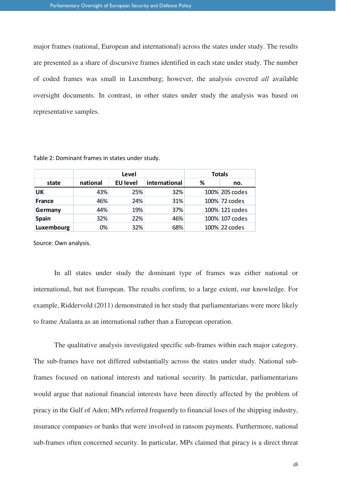major frames (national, European and international) across the states under study. The results are presented as a share of discursive frames identified in each state under study. The number of coded frames was small in Luxemburg; however, the analysis covered *all* available oversight documents. In contrast, in other states under study the analysis was based on representative samples.

|            | Level    |                 |               | <b>Totals</b> |                |
|------------|----------|-----------------|---------------|---------------|----------------|
| state      | national | <b>EU level</b> | international | ℅             | no.            |
| UK         | 43%      | 25%             | 32%           |               | 100% 205 codes |
| France     | 46%      | 24%             | 31%           |               | 100% 72 codes  |
| Germany    | 44%      | 19%             | 37%           |               | 100% 121 codes |
| Spain      | 32%      | 22%             | 46%           |               | 100% 107 codes |
| Luxembourg | 0%       | 32%             | 68%           |               | 100% 22 codes  |

Table 2: Dominant frames in states under study.

Source: Own analysis.

In all states under study the dominant type of frames was either national or international, but not European. The results confirm, to a large extent, our knowledge. For example, Riddervold (2011) demonstrated in her study that parliamentarians were more likely to frame Atalanta as an international rather than a European operation.

The qualitative analysis investigated specific sub-frames within each major category. The sub-frames have not differed substantially across the states under study. National subframes focused on national interests and national security. In particular, parliamentarians would argue that national financial interests have been directly affected by the problem of piracy in the Gulf of Aden; MPs referred frequently to financial loses of the shipping industry, insurance companies or banks that were involved in ransom payments. Furthermore, national sub-frames often concerned security. In particular, MPs claimed that piracy is a direct threat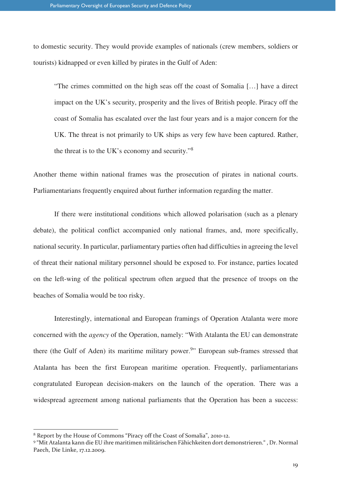to domestic security. They would provide examples of nationals (crew members, soldiers or tourists) kidnapped or even killed by pirates in the Gulf of Aden:

"The crimes committed on the high seas off the coast of Somalia […] have a direct impact on the UK's security, prosperity and the lives of British people. Piracy off the coast of Somalia has escalated over the last four years and is a major concern for the UK. The threat is not primarily to UK ships as very few have been captured. Rather, the threat is to the UK's economy and security."<sup>8</sup>

Another theme within national frames was the prosecution of pirates in national courts. Parliamentarians frequently enquired about further information regarding the matter.

If there were institutional conditions which allowed polarisation (such as a plenary debate), the political conflict accompanied only national frames, and, more specifically, national security. In particular, parliamentary parties often had difficulties in agreeing the level of threat their national military personnel should be exposed to. For instance, parties located on the left-wing of the political spectrum often argued that the presence of troops on the beaches of Somalia would be too risky.

Interestingly, international and European framings of Operation Atalanta were more concerned with the *agency* of the Operation, namely: "With Atalanta the EU can demonstrate there (the Gulf of Aden) its maritime military power.<sup>9</sup>" European sub-frames stressed that Atalanta has been the first European maritime operation. Frequently, parliamentarians congratulated European decision-makers on the launch of the operation. There was a widespread agreement among national parliaments that the Operation has been a success:

 $\overline{a}$ 

<sup>8</sup> Report by the House of Commons "Piracy off the Coast of Somalia", 2010-12.

<sup>9</sup> "Mit Atalanta kann die EU ihre maritimen militärischen Fähichkeiten dort demonstrieren." , Dr. Normal Paech, Die Linke, 17.12.2009.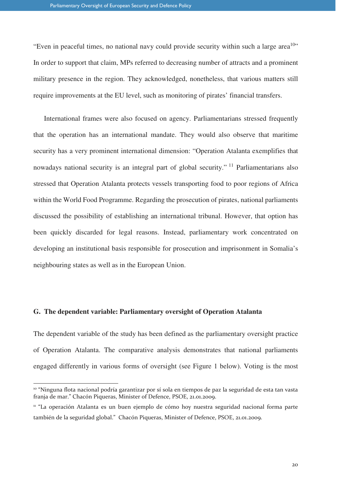"Even in peaceful times, no national navy could provide security within such a large area<sup>10</sup>" In order to support that claim, MPs referred to decreasing number of attracts and a prominent military presence in the region. They acknowledged, nonetheless, that various matters still require improvements at the EU level, such as monitoring of pirates' financial transfers.

International frames were also focused on agency. Parliamentarians stressed frequently that the operation has an international mandate. They would also observe that maritime security has a very prominent international dimension: "Operation Atalanta exemplifies that nowadays national security is an integral part of global security."<sup>11</sup> Parliamentarians also stressed that Operation Atalanta protects vessels transporting food to poor regions of Africa within the World Food Programme. Regarding the prosecution of pirates, national parliaments discussed the possibility of establishing an international tribunal. However, that option has been quickly discarded for legal reasons. Instead, parliamentary work concentrated on developing an institutional basis responsible for prosecution and imprisonment in Somalia's neighbouring states as well as in the European Union.

#### **G. The dependent variable: Parliamentary oversight of Operation Atalanta**

 $\overline{a}$ 

The dependent variable of the study has been defined as the parliamentary oversight practice of Operation Atalanta. The comparative analysis demonstrates that national parliaments engaged differently in various forms of oversight (see Figure 1 below). Voting is the most

<sup>&</sup>lt;sup>10</sup> "Ninguna flota nacional podría garantizar por sí sola en tiempos de paz la seguridad de esta tan vasta franja de mar." Chacón Piqueras, Minister of Defence, PSOE, 21.01.2009.

<sup>&</sup>lt;sup>11</sup> "La operación Atalanta es un buen ejemplo de cómo hoy nuestra seguridad nacional forma parte también de la seguridad global." Chacón Piqueras, Minister of Defence, PSOE, 21.01.2009.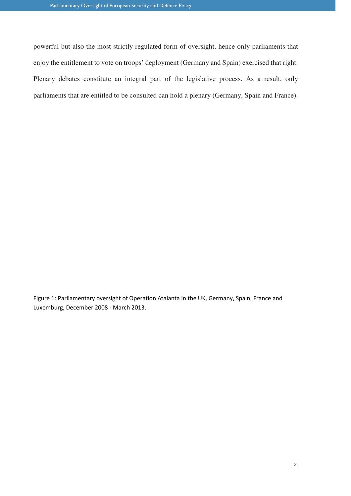powerful but also the most strictly regulated form of oversight, hence only parliaments that enjoy the entitlement to vote on troops' deployment (Germany and Spain) exercised that right. Plenary debates constitute an integral part of the legislative process. As a result, only parliaments that are entitled to be consulted can hold a plenary (Germany, Spain and France).

Figure 1: Parliamentary oversight of Operation Atalanta in the UK, Germany, Spain, France and Luxemburg, December 2008 - March 2013.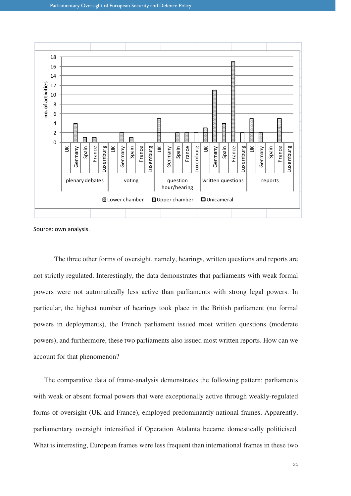

Source: own analysis.

The three other forms of oversight, namely, hearings, written questions and reports are not strictly regulated. Interestingly, the data demonstrates that parliaments with weak formal powers were not automatically less active than parliaments with strong legal powers. In particular, the highest number of hearings took place in the British parliament (no formal powers in deployments), the French parliament issued most written questions (moderate powers), and furthermore, these two parliaments also issued most written reports. How can we account for that phenomenon?

The comparative data of frame-analysis demonstrates the following pattern: parliaments with weak or absent formal powers that were exceptionally active through weakly-regulated forms of oversight (UK and France), employed predominantly national frames. Apparently, parliamentary oversight intensified if Operation Atalanta became domestically politicised. What is interesting, European frames were less frequent than international frames in these two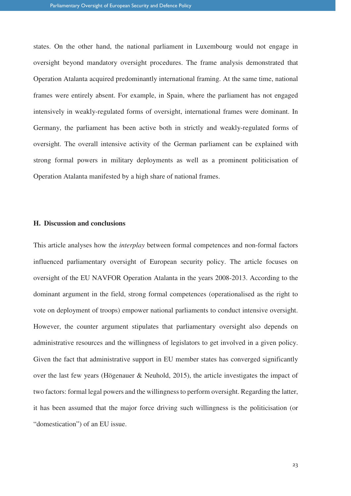states. On the other hand, the national parliament in Luxembourg would not engage in oversight beyond mandatory oversight procedures. The frame analysis demonstrated that Operation Atalanta acquired predominantly international framing. At the same time, national frames were entirely absent. For example, in Spain, where the parliament has not engaged intensively in weakly-regulated forms of oversight, international frames were dominant. In Germany, the parliament has been active both in strictly and weakly-regulated forms of oversight. The overall intensive activity of the German parliament can be explained with strong formal powers in military deployments as well as a prominent politicisation of Operation Atalanta manifested by a high share of national frames.

#### **H. Discussion and conclusions**

This article analyses how the *interplay* between formal competences and non-formal factors influenced parliamentary oversight of European security policy. The article focuses on oversight of the EU NAVFOR Operation Atalanta in the years 2008-2013. According to the dominant argument in the field, strong formal competences (operationalised as the right to vote on deployment of troops) empower national parliaments to conduct intensive oversight. However, the counter argument stipulates that parliamentary oversight also depends on administrative resources and the willingness of legislators to get involved in a given policy. Given the fact that administrative support in EU member states has converged significantly over the last few years (Högenauer & Neuhold, 2015), the article investigates the impact of two factors: formal legal powers and the willingness to perform oversight. Regarding the latter, it has been assumed that the major force driving such willingness is the politicisation (or "domestication") of an EU issue.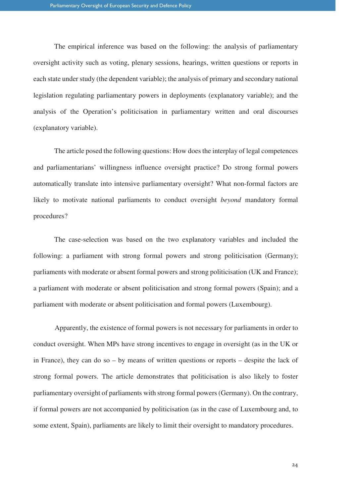The empirical inference was based on the following: the analysis of parliamentary oversight activity such as voting, plenary sessions, hearings, written questions or reports in each state under study (the dependent variable); the analysis of primary and secondary national legislation regulating parliamentary powers in deployments (explanatory variable); and the analysis of the Operation's politicisation in parliamentary written and oral discourses (explanatory variable).

The article posed the following questions: How does the interplay of legal competences and parliamentarians' willingness influence oversight practice? Do strong formal powers automatically translate into intensive parliamentary oversight? What non-formal factors are likely to motivate national parliaments to conduct oversight *beyond* mandatory formal procedures?

The case-selection was based on the two explanatory variables and included the following: a parliament with strong formal powers and strong politicisation (Germany); parliaments with moderate or absent formal powers and strong politicisation (UK and France); a parliament with moderate or absent politicisation and strong formal powers (Spain); and a parliament with moderate or absent politicisation and formal powers (Luxembourg).

Apparently, the existence of formal powers is not necessary for parliaments in order to conduct oversight. When MPs have strong incentives to engage in oversight (as in the UK or in France), they can do so – by means of written questions or reports – despite the lack of strong formal powers. The article demonstrates that politicisation is also likely to foster parliamentary oversight of parliaments with strong formal powers (Germany). On the contrary, if formal powers are not accompanied by politicisation (as in the case of Luxembourg and, to some extent, Spain), parliaments are likely to limit their oversight to mandatory procedures.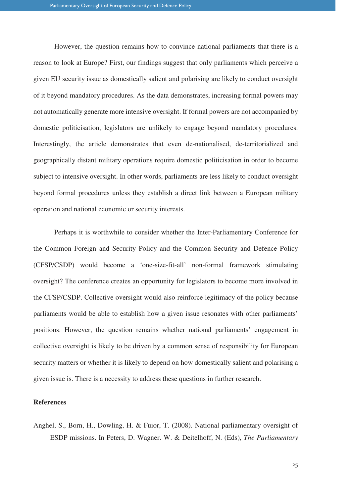However, the question remains how to convince national parliaments that there is a reason to look at Europe? First, our findings suggest that only parliaments which perceive a given EU security issue as domestically salient and polarising are likely to conduct oversight of it beyond mandatory procedures. As the data demonstrates, increasing formal powers may not automatically generate more intensive oversight. If formal powers are not accompanied by domestic politicisation, legislators are unlikely to engage beyond mandatory procedures. Interestingly, the article demonstrates that even de-nationalised, de-territorialized and geographically distant military operations require domestic politicisation in order to become subject to intensive oversight. In other words, parliaments are less likely to conduct oversight beyond formal procedures unless they establish a direct link between a European military operation and national economic or security interests.

Perhaps it is worthwhile to consider whether the Inter-Parliamentary Conference for the Common Foreign and Security Policy and the Common Security and Defence Policy (CFSP/CSDP) would become a 'one-size-fit-all' non-formal framework stimulating oversight? The conference creates an opportunity for legislators to become more involved in the CFSP/CSDP. Collective oversight would also reinforce legitimacy of the policy because parliaments would be able to establish how a given issue resonates with other parliaments' positions. However, the question remains whether national parliaments' engagement in collective oversight is likely to be driven by a common sense of responsibility for European security matters or whether it is likely to depend on how domestically salient and polarising a given issue is. There is a necessity to address these questions in further research.

#### **References**

Anghel, S., Born, H., Dowling, H. & Fuior, T. (2008). National parliamentary oversight of ESDP missions. In Peters, D. Wagner. W. & Deitelhoff, N. (Eds), *The Parliamentary*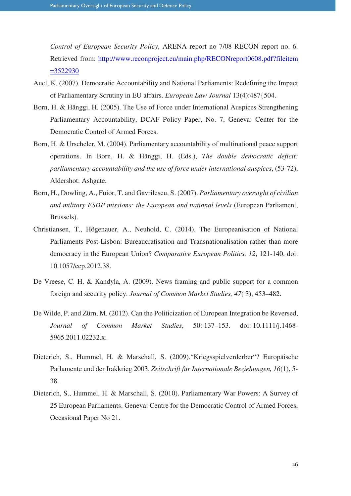*Control of European Security Policy*, ARENA report no 7/08 RECON report no. 6. Retrieved from: http://www.reconproject.eu/main.php/RECONreport0608.pdf?fileitem =3522930

- Auel, K. (2007). Democratic Accountability and National Parliaments: Redefining the Impact of Parliamentary Scrutiny in EU affairs. *European Law Journal* 13(4):487{504.
- Born, H. & Hänggi, H. (2005). The Use of Force under International Auspices Strengthening Parliamentary Accountability, DCAF Policy Paper, No. 7, Geneva: Center for the Democratic Control of Armed Forces.
- Born, H. & Urscheler, M. (2004). Parliamentary accountability of multinational peace support operations. In Born, H. & Hänggi, H. (Eds.), *The double democratic deficit: parliamentary accountability and the use of force under international auspices*, (53-72), Aldershot: Ashgate.
- Born, H., Dowling, A., Fuior, T. and Gavrilescu, S. (2007). *Parliamentary oversight of civilian and military ESDP missions: the European and national levels* (European Parliament, Brussels).
- Christiansen, T., Högenauer, A., Neuhold, C. (2014). The Europeanisation of National Parliaments Post-Lisbon: Bureaucratisation and Transnationalisation rather than more democracy in the European Union? *Comparative European Politics, 12*, 121-140. doi: 10.1057/cep.2012.38.
- De Vreese, C. H. & Kandyla, A. (2009). News framing and public support for a common foreign and security policy. *Journal of Common Market Studies, 47*( 3), 453–482.
- De Wilde, P. and Zürn, M. (2012). Can the Politicization of European Integration be Reversed, *Journal of Common Market Studies*, 50: 137–153. doi: 10.1111/j.1468- 5965.2011.02232.x.
- Dieterich, S., Hummel, H. & Marschall, S. (2009)."Kriegsspielverderber"? Europäische Parlamente und der Irakkrieg 2003. *Zeitschrift für Internationale Beziehungen, 16*(1), 5- 38.
- Dieterich, S., Hummel, H. & Marschall, S. (2010). Parliamentary War Powers: A Survey of 25 European Parliaments. Geneva: Centre for the Democratic Control of Armed Forces, Occasional Paper No 21.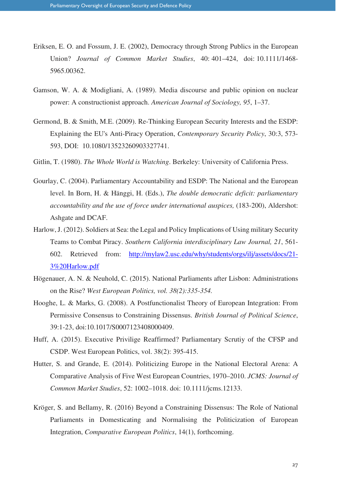- Eriksen, E. O. and Fossum, J. E. (2002), Democracy through Strong Publics in the European Union? *Journal of Common Market Studies*, 40: 401–424, doi: 10.1111/1468- 5965.00362.
- Gamson, W. A. & Modigliani, A. (1989). Media discourse and public opinion on nuclear power: A constructionist approach. *American Journal of Sociology, 95*, 1–37.
- Germond, B. & Smith, M.E. (2009). Re-Thinking European Security Interests and the ESDP: Explaining the EU's Anti-Piracy Operation, *Contemporary Security Policy*, 30:3, 573- 593, DOI: 10.1080/13523260903327741.
- Gitlin, T. (1980). *The Whole World is Watching*. Berkeley: University of California Press.
- Gourlay, C. (2004). Parliamentary Accountability and ESDP: The National and the European level. In Born, H. & Hänggi, H. (Eds.), *The double democratic deficit: parliamentary accountability and the use of force under international auspices,* (183-200), Aldershot: Ashgate and DCAF.
- Harlow, J. (2012). Soldiers at Sea: the Legal and Policy Implications of Using military Security Teams to Combat Piracy. *Southern California interdisciplinary Law Journal, 21*, 561- 602. Retrieved from: http://mylaw2.usc.edu/why/students/orgs/ilj/assets/docs/21- 3%20Harlow.pdf
- Högenauer, A. N. & Neuhold, C. (2015). National Parliaments after Lisbon: Administrations on the Rise? *West European Politics, vol. 38(2):335-354.*
- Hooghe, L. & Marks, G. (2008). A Postfunctionalist Theory of European Integration: From Permissive Consensus to Constraining Dissensus. *British Journal of Political Science*, 39:1-23, doi:10.1017/S0007123408000409.
- Huff, A. (2015). Executive Privilige Reaffirmed? Parliamentary Scrutiy of the CFSP and CSDP. West European Politics, vol. 38(2): 395-415.
- Hutter, S. and Grande, E. (2014). Politicizing Europe in the National Electoral Arena: A Comparative Analysis of Five West European Countries, 1970–2010. *JCMS: Journal of Common Market Studies*, 52: 1002–1018. doi: 10.1111/jcms.12133.
- Kröger, S. and Bellamy, R. (2016) Beyond a Constraining Dissensus: The Role of National Parliaments in Domesticating and Normalising the Politicization of European Integration, *Comparative European Politics*, 14(1), forthcoming.